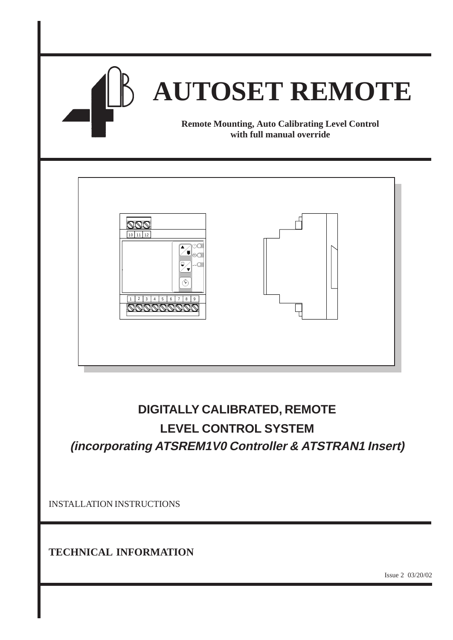

# **DIGITALLY CALIBRATED, REMOTE LEVEL CONTROL SYSTEM**

INSTALLATION INSTRUCTIONS

**TECHNICAL INFORMATION**

Issue 2 03/20/02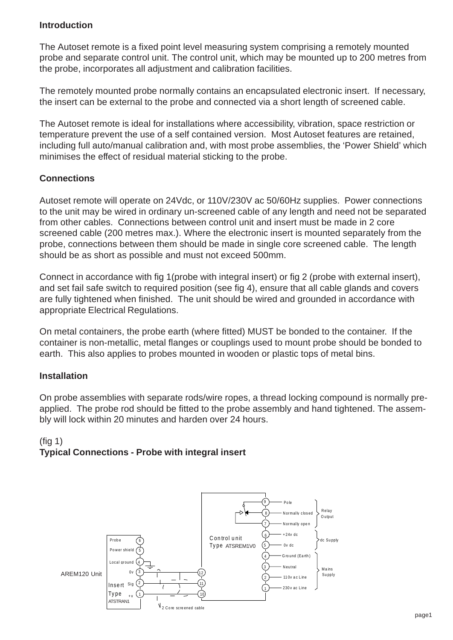#### **Introduction**

The Autoset remote is a fixed point level measuring system comprising a remotely mounted probe and separate control unit. The control unit, which may be mounted up to 200 metres from the probe, incorporates all adjustment and calibration facilities.

The remotely mounted probe normally contains an encapsulated electronic insert. If necessary, the insert can be external to the probe and connected via a short length of screened cable.

The Autoset remote is ideal for installations where accessibility, vibration, space restriction or temperature prevent the use of a self contained version. Most Autoset features are retained, including full auto/manual calibration and, with most probe assemblies, the 'Power Shield' which minimises the effect of residual material sticking to the probe.

#### **Connections**

Autoset remote will operate on 24Vdc, or 110V/230V ac 50/60Hz supplies. Power connections to the unit may be wired in ordinary un-screened cable of any length and need not be separated from other cables. Connections between control unit and insert must be made in 2 core screened cable (200 metres max.). Where the electronic insert is mounted separately from the probe, connections between them should be made in single core screened cable. The length should be as short as possible and must not exceed 500mm.

Connect in accordance with fig 1(probe with integral insert) or fig 2 (probe with external insert), and set fail safe switch to required position (see fig 4), ensure that all cable glands and covers are fully tightened when finished. The unit should be wired and grounded in accordance with appropriate Electrical Regulations.

On metal containers, the probe earth (where fitted) MUST be bonded to the container. If the container is non-metallic, metal flanges or couplings used to mount probe should be bonded to earth. This also applies to probes mounted in wooden or plastic tops of metal bins.

#### **Installation**

On probe assemblies with separate rods/wire ropes, a thread locking compound is normally preapplied. The probe rod should be fitted to the probe assembly and hand tightened. The assembly will lock within 20 minutes and harden over 24 hours.

#### (fig 1) **Typical Connections - Probe with integral insert**

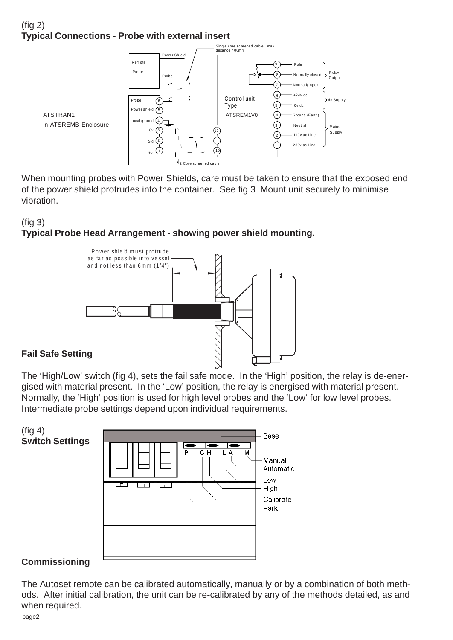# $(fia 2)$ **Typical Connections - Probe with external insert**



When mounting probes with Power Shields, care must be taken to ensure that the exposed end of the power shield protrudes into the container. See fig 3 Mount unit securely to minimise vibration.

## (fig 3) **Typical Probe Head Arrangement - showing power shield mounting.**



### **Fail Safe Setting**

The 'High/Low' switch (fig 4), sets the fail safe mode. In the 'High' position, the relay is de-energised with material present. In the 'Low' position, the relay is energised with material present. Normally, the 'High' position is used for high level probes and the 'Low' for low level probes. Intermediate probe settings depend upon individual requirements.



#### **Commissioning**

The Autoset remote can be calibrated automatically, manually or by a combination of both methods. After initial calibration, the unit can be re-calibrated by any of the methods detailed, as and when required.

page2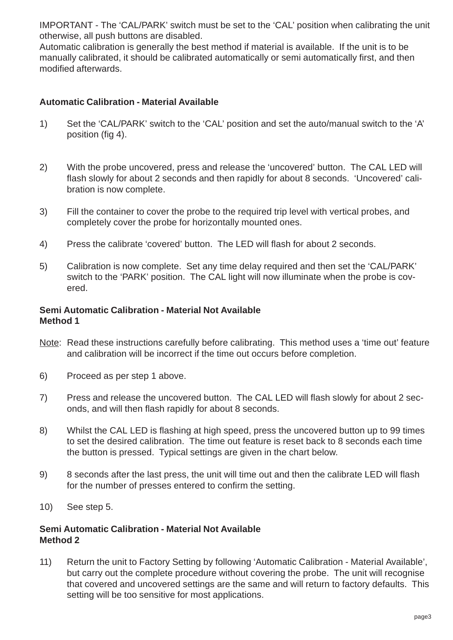IMPORTANT - The 'CAL/PARK' switch must be set to the 'CAL' position when calibrating the unit otherwise, all push buttons are disabled.

Automatic calibration is generally the best method if material is available. If the unit is to be manually calibrated, it should be calibrated automatically or semi automatically first, and then modified afterwards.

#### **Automatic Calibration - Material Available**

- 1) Set the 'CAL/PARK' switch to the 'CAL' position and set the auto/manual switch to the 'A' position (fig 4).
- 2) With the probe uncovered, press and release the 'uncovered' button. The CAL LED will flash slowly for about 2 seconds and then rapidly for about 8 seconds. 'Uncovered' calibration is now complete.
- 3) Fill the container to cover the probe to the required trip level with vertical probes, and completely cover the probe for horizontally mounted ones.
- 4) Press the calibrate 'covered' button. The LED will flash for about 2 seconds.
- 5) Calibration is now complete. Set any time delay required and then set the 'CAL/PARK' switch to the 'PARK' position. The CAL light will now illuminate when the probe is covered.

#### **Semi Automatic Calibration - Material Not Available Method 1**

- Note: Read these instructions carefully before calibrating. This method uses a 'time out' feature and calibration will be incorrect if the time out occurs before completion.
- 6) Proceed as per step 1 above.
- 7) Press and release the uncovered button. The CAL LED will flash slowly for about 2 seconds, and will then flash rapidly for about 8 seconds.
- 8) Whilst the CAL LED is flashing at high speed, press the uncovered button up to 99 times to set the desired calibration. The time out feature is reset back to 8 seconds each time the button is pressed. Typical settings are given in the chart below.
- 9) 8 seconds after the last press, the unit will time out and then the calibrate LED will flash for the number of presses entered to confirm the setting.
- 10) See step 5.

#### **Semi Automatic Calibration - Material Not Available Method 2**

11) Return the unit to Factory Setting by following 'Automatic Calibration - Material Available', but carry out the complete procedure without covering the probe. The unit will recognise that covered and uncovered settings are the same and will return to factory defaults. This setting will be too sensitive for most applications.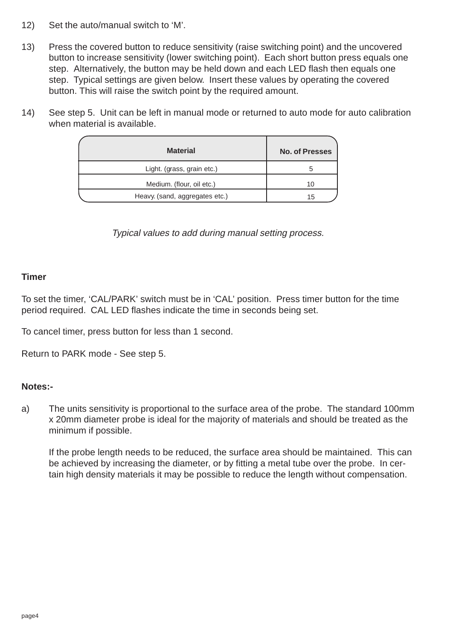- 12) Set the auto/manual switch to 'M'.
- 13) Press the covered button to reduce sensitivity (raise switching point) and the uncovered button to increase sensitivity (lower switching point). Each short button press equals one step. Alternatively, the button may be held down and each LED flash then equals one step. Typical settings are given below. Insert these values by operating the covered button. This will raise the switch point by the required amount.
- 14) See step 5. Unit can be left in manual mode or returned to auto mode for auto calibration when material is available.

| <b>Material</b>                | <b>No. of Presses</b> |
|--------------------------------|-----------------------|
| Light. (grass, grain etc.)     | h                     |
| Medium. (flour, oil etc.)      | 10                    |
| Heavy. (sand, aggregates etc.) | 15                    |

Typical values to add during manual setting process.

#### **Timer**

To set the timer, 'CAL/PARK' switch must be in 'CAL' position. Press timer button for the time period required. CAL LED flashes indicate the time in seconds being set.

To cancel timer, press button for less than 1 second.

Return to PARK mode - See step 5.

#### **Notes:-**

a) The units sensitivity is proportional to the surface area of the probe. The standard 100mm x 20mm diameter probe is ideal for the majority of materials and should be treated as the minimum if possible.

If the probe length needs to be reduced, the surface area should be maintained. This can be achieved by increasing the diameter, or by fitting a metal tube over the probe. In certain high density materials it may be possible to reduce the length without compensation.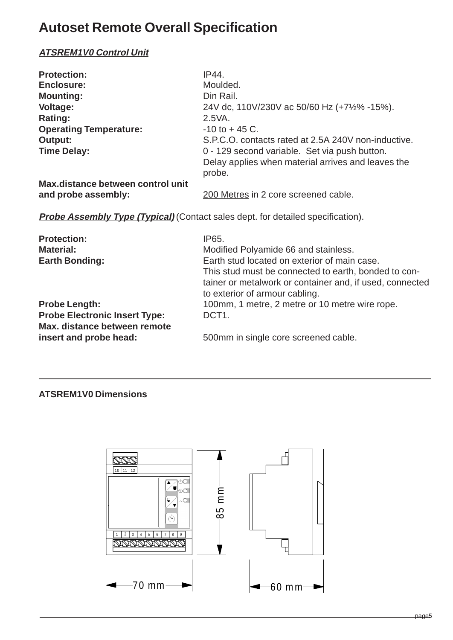# **Autoset Remote Overall Specification**

#### **ATSREM1V0 Control Unit**

| <b>Protection:</b>                | IP44.                                               |
|-----------------------------------|-----------------------------------------------------|
| <b>Enclosure:</b>                 | Moulded.                                            |
| <b>Mounting:</b>                  | Din Rail.                                           |
| <b>Voltage:</b>                   | 24V dc, 110V/230V ac 50/60 Hz (+7½% -15%).          |
| Rating:                           | 2.5VA.                                              |
| <b>Operating Temperature:</b>     | $-10$ to $+45$ C.                                   |
| Output:                           | S.P.C.O. contacts rated at 2.5A 240V non-inductive. |
| <b>Time Delay:</b>                | 0 - 129 second variable. Set via push button.       |
|                                   | Delay applies when material arrives and leaves the  |
|                                   | probe.                                              |
| Max.distance between control unit |                                                     |
| and probe assembly:               | 200 Metres in 2 core screened cable.                |

**Probe Assembly Type (Typical)** (Contact sales dept. for detailed specification).

| <b>Protection:</b>                   | IP65.                                                    |
|--------------------------------------|----------------------------------------------------------|
| <b>Material:</b>                     | Modified Polyamide 66 and stainless.                     |
| <b>Earth Bonding:</b>                | Earth stud located on exterior of main case.             |
|                                      | This stud must be connected to earth, bonded to con-     |
|                                      | tainer or metalwork or container and, if used, connected |
|                                      | to exterior of armour cabling.                           |
| <b>Probe Length:</b>                 | 100mm, 1 metre, 2 metre or 10 metre wire rope.           |
| <b>Probe Electronic Insert Type:</b> | DCT <sub>1</sub> .                                       |
| Max. distance between remote         |                                                          |
| insert and probe head:               | 500mm in single core screened cable.                     |

#### **ATSREM1V0 Dimensions**